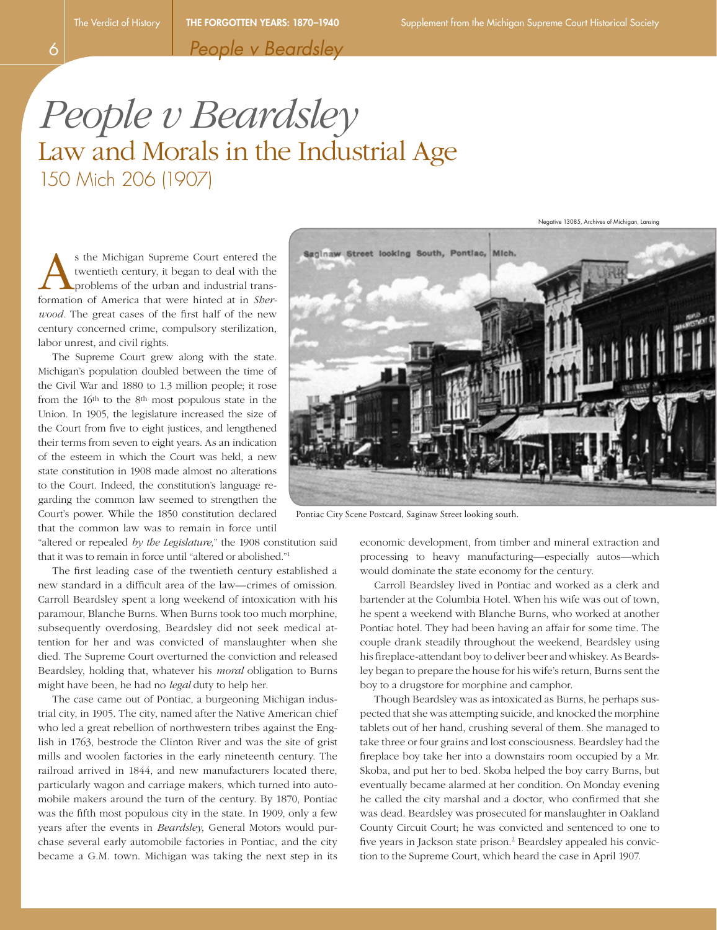Negative 13085, Archives of Michigan, Lansing

*People v Beardsley*

## *People v Beardsley* Law and Morals in the Industrial Age 150 Mich 206 (1907)

s the Michigan Supreme Court entered the twentieth century, it began to deal with the problems of the urban and industrial transformation of America that were hinted at in *Sherwood.* The great cases of the first half of the new century concerned crime, compulsory sterilization, labor unrest, and civil rights.

The Supreme Court grew along with the state. Michigan's population doubled between the time of the Civil War and 1880 to 1.3 million people; it rose from the 16th to the 8th most populous state in the Union. In 1905, the legislature increased the size of the Court from five to eight justices, and lengthened their terms from seven to eight years. As an indication of the esteem in which the Court was held, a new state constitution in 1908 made almost no alterations to the Court. Indeed, the constitution's language regarding the common law seemed to strengthen the Court's power. While the 1850 constitution declared that the common law was to remain in force until

"altered or repealed *by the Legislature,*" the 1908 constitution said that it was to remain in force until "altered or abolished."1

The first leading case of the twentieth century established a new standard in a difficult area of the law—crimes of omission. Carroll Beardsley spent a long weekend of intoxication with his paramour, Blanche Burns. When Burns took too much morphine, subsequently overdosing, Beardsley did not seek medical attention for her and was convicted of manslaughter when she died. The Supreme Court overturned the conviction and released Beardsley, holding that, whatever his *moral* obligation to Burns might have been, he had no *legal* duty to help her.

The case came out of Pontiac, a burgeoning Michigan industrial city, in 1905. The city, named after the Native American chief who led a great rebellion of northwestern tribes against the English in 1763, bestrode the Clinton River and was the site of grist mills and woolen factories in the early nineteenth century. The railroad arrived in 1844, and new manufacturers located there, particularly wagon and carriage makers, which turned into automobile makers around the turn of the century. By 1870, Pontiac was the fifth most populous city in the state. In 1909, only a few years after the events in *Beardsley,* General Motors would purchase several early automobile factories in Pontiac, and the city became a G.M. town. Michigan was taking the next step in its



Pontiac City Scene Postcard, Saginaw Street looking south.

economic development, from timber and mineral extraction and processing to heavy manufacturing—especially autos—which would dominate the state economy for the century.

Carroll Beardsley lived in Pontiac and worked as a clerk and bartender at the Columbia Hotel. When his wife was out of town, he spent a weekend with Blanche Burns, who worked at another Pontiac hotel. They had been having an affair for some time. The couple drank steadily throughout the weekend, Beardsley using his fireplace-attendant boy to deliver beer and whiskey. As Beardsley began to prepare the house for his wife's return, Burns sent the boy to a drugstore for morphine and camphor.

Though Beardsley was as intoxicated as Burns, he perhaps suspected that she was attempting suicide, and knocked the morphine tablets out of her hand, crushing several of them. She managed to take three or four grains and lost consciousness. Beardsley had the fireplace boy take her into a downstairs room occupied by a Mr. Skoba, and put her to bed. Skoba helped the boy carry Burns, but eventually became alarmed at her condition. On Monday evening he called the city marshal and a doctor, who confirmed that she was dead. Beardsley was prosecuted for manslaughter in Oakland County Circuit Court; he was convicted and sentenced to one to five years in Jackson state prison.<sup>2</sup> Beardsley appealed his conviction to the Supreme Court, which heard the case in April 1907.

6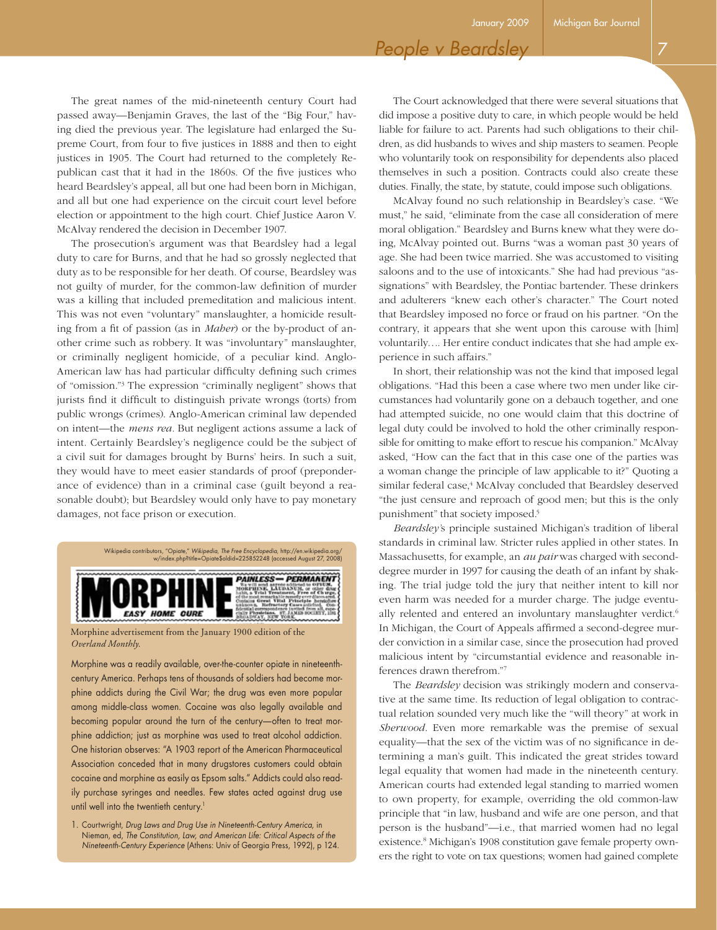## *People v Beardsley*

The great names of the mid-nineteenth century Court had passed away—Benjamin Graves, the last of the "Big Four," having died the previous year. The legislature had enlarged the Supreme Court, from four to five justices in 1888 and then to eight justices in 1905. The Court had returned to the completely Republican cast that it had in the 1860s. Of the five justices who heard Beardsley's appeal, all but one had been born in Michigan, and all but one had experience on the circuit court level before election or appointment to the high court. Chief Justice Aaron V. McAlvay rendered the decision in December 1907.

The prosecution's argument was that Beardsley had a legal duty to care for Burns, and that he had so grossly neglected that duty as to be responsible for her death. Of course, Beardsley was not guilty of murder, for the common-law definition of murder was a killing that included premeditation and malicious intent. This was not even "voluntary" manslaughter, a homicide resulting from a fit of passion (as in *Maher*) or the by-product of another crime such as robbery. It was "involuntary" manslaughter, or criminally negligent homicide, of a peculiar kind. Anglo-American law has had particular difficulty defining such crimes of "omission."3 The expression "criminally negligent" shows that jurists find it difficult to distinguish private wrongs (torts) from public wrongs (crimes). Anglo-American criminal law depended on intent—the *mens rea.* But negligent actions assume a lack of intent. Certainly Beardsley's negligence could be the subject of a civil suit for damages brought by Burns' heirs. In such a suit, they would have to meet easier standards of proof (preponderance of evidence) than in a criminal case (guilt beyond a reasonable doubt); but Beardsley would only have to pay monetary damages, not face prison or execution.



Morphine advertisement from the January 1900 edition of the *Overland Monthly.*

Morphine was a readily available, over-the-counter opiate in nineteenthcentury America. Perhaps tens of thousands of soldiers had become morphine addicts during the Civil War; the drug was even more popular among middle-class women. Cocaine was also legally available and becoming popular around the turn of the century—often to treat morphine addiction; just as morphine was used to treat alcohol addiction. One historian observes: "A 1903 report of the American Pharmaceutical Association conceded that in many drugstores customers could obtain cocaine and morphine as easily as Epsom salts." Addicts could also readily purchase syringes and needles. Few states acted against drug use until well into the twentieth century.<sup>1</sup>

1. Courtwright, *Drug Laws and Drug Use in Nineteenth-Century America,* in Nieman, ed, *The Constitution, Law, and American Life: Critical Aspects of the Nineteenth-Century Experience* (Athens: Univ of Georgia Press, 1992), p 124.

The Court acknowledged that there were several situations that did impose a positive duty to care, in which people would be held liable for failure to act. Parents had such obligations to their children, as did husbands to wives and ship masters to seamen. People who voluntarily took on responsibility for dependents also placed themselves in such a position. Contracts could also create these duties. Finally, the state, by statute, could impose such obligations.

McAlvay found no such relationship in Beardsley's case. "We must," he said, "eliminate from the case all consideration of mere moral obligation." Beardsley and Burns knew what they were doing, McAlvay pointed out. Burns "was a woman past 30 years of age. She had been twice married. She was accustomed to visiting saloons and to the use of intoxicants." She had had previous "assignations" with Beardsley, the Pontiac bartender. These drinkers and adulterers "knew each other's character." The Court noted that Beardsley imposed no force or fraud on his partner. "On the contrary, it appears that she went upon this carouse with [him] voluntarily…. Her entire conduct indicates that she had ample experience in such affairs."

In short, their relationship was not the kind that imposed legal obligations. "Had this been a case where two men under like circumstances had voluntarily gone on a debauch together, and one had attempted suicide, no one would claim that this doctrine of legal duty could be involved to hold the other criminally responsible for omitting to make effort to rescue his companion." McAlvay asked, "How can the fact that in this case one of the parties was a woman change the principle of law applicable to it?" Quoting a similar federal case,<sup>4</sup> McAlvay concluded that Beardsley deserved "the just censure and reproach of good men; but this is the only punishment" that society imposed.5

*Beardsley'*s principle sustained Michigan's tradition of liberal standards in criminal law. Stricter rules applied in other states. In Massachusetts, for example, an *au pair* was charged with seconddegree murder in 1997 for causing the death of an infant by shaking. The trial judge told the jury that neither intent to kill nor even harm was needed for a murder charge. The judge eventually relented and entered an involuntary manslaughter verdict.<sup>6</sup> In Michigan, the Court of Appeals affirmed a second-degree murder conviction in a similar case, since the prosecution had proved malicious intent by "circumstantial evidence and reasonable inferences drawn therefrom."7

The *Beardsley* decision was strikingly modern and conservative at the same time. Its reduction of legal obligation to contractual relation sounded very much like the "will theory" at work in *Sherwood.* Even more remarkable was the premise of sexual equality—that the sex of the victim was of no significance in determining a man's guilt. This indicated the great strides toward legal equality that women had made in the nineteenth century. American courts had extended legal standing to married women to own property, for example, overriding the old common-law principle that "in law, husband and wife are one person, and that person is the husband"—i.e., that married women had no legal existence.<sup>8</sup> Michigan's 1908 constitution gave female property owners the right to vote on tax questions; women had gained complete